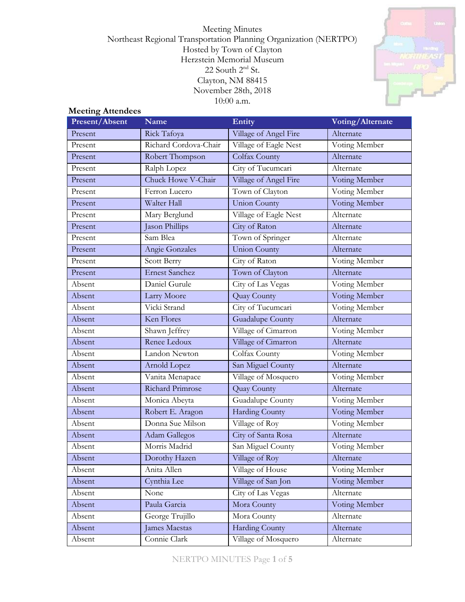Meeting Minutes Northeast Regional Transportation Planning Organization (NERTPO) Hosted by Town of Clayton Herzstein Memorial Museum  $22$  South  $2<sup>nd</sup>$  St. Clayton, NM 88415 November 28th, 2018 10:00 a.m.



#### **Meeting Attendees**

| Present/Absent | Name                  | Entity                  | Voting/Alternate |
|----------------|-----------------------|-------------------------|------------------|
| Present        | Rick Tafoya           | Village of Angel Fire   | Alternate        |
| Present        | Richard Cordova-Chair | Village of Eagle Nest   | Voting Member    |
| Present        | Robert Thompson       | Colfax County           | Alternate        |
| Present        | Ralph Lopez           | City of Tucumcari       | Alternate        |
| Present        | Chuck Howe V-Chair    | Village of Angel Fire   | Voting Member    |
| Present        | Ferron Lucero         | Town of Clayton         | Voting Member    |
| Present        | Walter Hall           | <b>Union County</b>     | Voting Member    |
| Present        | Mary Berglund         | Village of Eagle Nest   | Alternate        |
| Present        | Jason Phillips        | City of Raton           | Alternate        |
| Present        | Sam Blea              | Town of Springer        | Alternate        |
| Present        | Angie Gonzales        | Union County            | Alternate        |
| Present        | Scott Berry           | City of Raton           | Voting Member    |
| Present        | <b>Ernest Sanchez</b> | Town of Clayton         | Alternate        |
| Absent         | Daniel Gurule         | City of Las Vegas       | Voting Member    |
| Absent         | Larry Moore           | Quay County             | Voting Member    |
| Absent         | Vicki Strand          | City of Tucumcari       | Voting Member    |
| Absent         | Ken Flores            | <b>Guadalupe County</b> | Alternate        |
| Absent         | Shawn Jeffrey         | Village of Cimarron     | Voting Member    |
| Absent         | Renee Ledoux          | Village of Cimarron     | Alternate        |
| Absent         | Landon Newton         | Colfax County           | Voting Member    |
| Absent         | Arnold Lopez          | San Miguel County       | Alternate        |
| Absent         | Vanita Menapace       | Village of Mosquero     | Voting Member    |
| Absent         | Richard Primrose      | Quay County             | Alternate        |
| Absent         | Monica Abeyta         | Guadalupe County        | Voting Member    |
| Absent         | Robert E. Aragon      | <b>Harding County</b>   | Voting Member    |
| Absent         | Donna Sue Milson      | Village of Roy          | Voting Member    |
| Absent         | <b>Adam Gallegos</b>  | City of Santa Rosa      | Alternate        |
| Absent         | Morris Madrid         | San Miguel County       | Voting Member    |
| Absent         | Dorothy Hazen         | Village of Roy          | Alternate        |
| Absent         | Anita Allen           | Village of House        | Voting Member    |
| Absent         | Cynthia Lee           | Village of San Jon      | Voting Member    |
| Absent         | None                  | City of Las Vegas       | Alternate        |
| Absent         | Paula Garcia          | Mora County             | Voting Member    |
| Absent         | George Trujillo       | Mora County             | Alternate        |
| Absent         | James Maestas         | <b>Harding County</b>   | Alternate        |
| Absent         | Connie Clark          | Village of Mosquero     | Alternate        |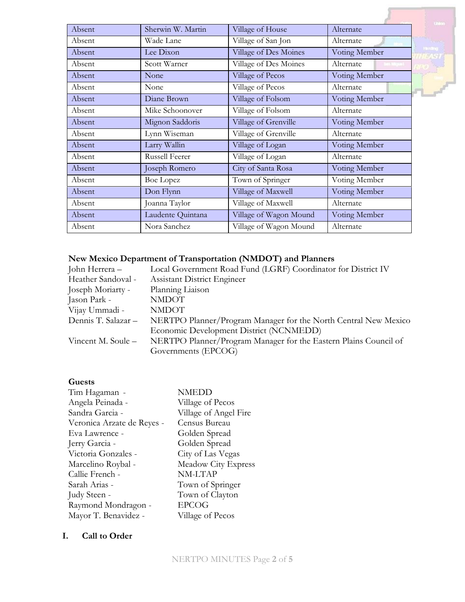|        |                       |                        |               | <b>United</b>   |
|--------|-----------------------|------------------------|---------------|-----------------|
| Absent | Sherwin W. Martin     | Village of House       | Alternate     |                 |
| Absent | Wade Lane             | Village of San Jon     | Alternate     |                 |
| Absent | Lee Dixon             | Village of Des Moines  | Voting Member | <b>Thinking</b> |
| Absent | Scott Warner          | Village of Des Moines  | Alternate     |                 |
| Absent | None                  | Village of Pecos       | Voting Member |                 |
| Absent | None                  | Village of Pecos       | Alternate     |                 |
| Absent | Diane Brown           | Village of Folsom      | Voting Member |                 |
| Absent | Mike Schoonover       | Village of Folsom      | Alternate     |                 |
| Absent | Mignon Saddoris       | Village of Grenville   | Voting Member |                 |
| Absent | Lynn Wiseman          | Village of Grenville   | Alternate     |                 |
| Absent | Larry Wallin          | Village of Logan       | Voting Member |                 |
| Absent | <b>Russell Feerer</b> | Village of Logan       | Alternate     |                 |
| Absent | Joseph Romero         | City of Santa Rosa     | Voting Member |                 |
| Absent | <b>Boe Lopez</b>      | Town of Springer       | Voting Member |                 |
| Absent | Don Flynn             | Village of Maxwell     | Voting Member |                 |
| Absent | Joanna Taylor         | Village of Maxwell     | Alternate     |                 |
| Absent | Laudente Quintana     | Village of Wagon Mound | Voting Member |                 |
| Absent | Nora Sanchez          | Village of Wagon Mound | Alternate     |                 |

# **New Mexico Department of Transportation (NMDOT) and Planners**

| John Herrera –      | Local Government Road Fund (LGRF) Coordinator for District IV    |
|---------------------|------------------------------------------------------------------|
| Heather Sandoval -  | <b>Assistant District Engineer</b>                               |
| Joseph Moriarty -   | Planning Liaison                                                 |
| Jason Park -        | <b>NMDOT</b>                                                     |
| Vijay Ummadi -      | <b>NMDOT</b>                                                     |
| Dennis T. Salazar - | NERTPO Planner/Program Manager for the North Central New Mexico  |
|                     | Economic Development District (NCNMEDD)                          |
| Vincent M. Soule –  | NERTPO Planner/Program Manager for the Eastern Plains Council of |
|                     | Governments (EPCOG)                                              |

# **Guests**

| Tim Hagaman -              | <b>NMEDD</b>          |
|----------------------------|-----------------------|
| Angela Peinada -           | Village of Pecos      |
| Sandra Garcia -            | Village of Angel Fire |
| Veronica Arzate de Reyes - | Census Bureau         |
| Eva Lawrence -             | Golden Spread         |
| Jerry Garcia -             | Golden Spread         |
| Victoria Gonzales -        | City of Las Vegas     |
| Marcelino Roybal -         | Meadow City Express   |
| Callie French -            | NM-LTAP               |
| Sarah Arias -              | Town of Springer      |
| Judy Steen -               | Town of Clayton       |
| Raymond Mondragon -        | <b>EPCOG</b>          |
| Mayor T. Benavidez -       | Village of Pecos      |

## **I. Call to Order**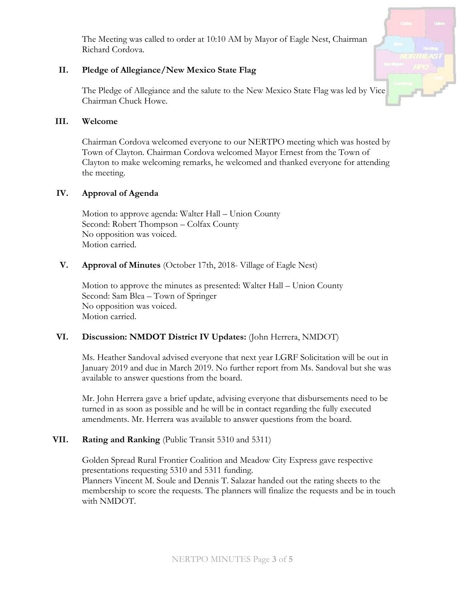The Meeting was called to order at 10:10 AM by Mayor of Eagle Nest, Chairman Richard Cordova.

#### **II. Pledge of Allegiance/New Mexico State Flag**

The Pledge of Allegiance and the salute to the New Mexico State Flag was led by Vice Chairman Chuck Howe.

#### **III. Welcome**

Chairman Cordova welcomed everyone to our NERTPO meeting which was hosted by Town of Clayton. Chairman Cordova welcomed Mayor Ernest from the Town of Clayton to make welcoming remarks, he welcomed and thanked everyone for attending the meeting.

#### **IV. Approval of Agenda**

Motion to approve agenda: Walter Hall – Union County Second: Robert Thompson – Colfax County No opposition was voiced. Motion carried.

#### **V. Approval of Minutes** (October 17th, 2018- Village of Eagle Nest)

Motion to approve the minutes as presented: Walter Hall – Union County Second: Sam Blea – Town of Springer No opposition was voiced. Motion carried.

#### **VI. Discussion: NMDOT District IV Updates:** (John Herrera, NMDOT)

Ms. Heather Sandoval advised everyone that next year LGRF Solicitation will be out in January 2019 and due in March 2019. No further report from Ms. Sandoval but she was available to answer questions from the board.

Mr. John Herrera gave a brief update, advising everyone that disbursements need to be turned in as soon as possible and he will be in contact regarding the fully executed amendments. Mr. Herrera was available to answer questions from the board.

#### **VII. Rating and Ranking** (Public Transit 5310 and 5311)

Golden Spread Rural Frontier Coalition and Meadow City Express gave respective presentations requesting 5310 and 5311 funding.

Planners Vincent M. Soule and Dennis T. Salazar handed out the rating sheets to the membership to score the requests. The planners will finalize the requests and be in touch with NMDOT.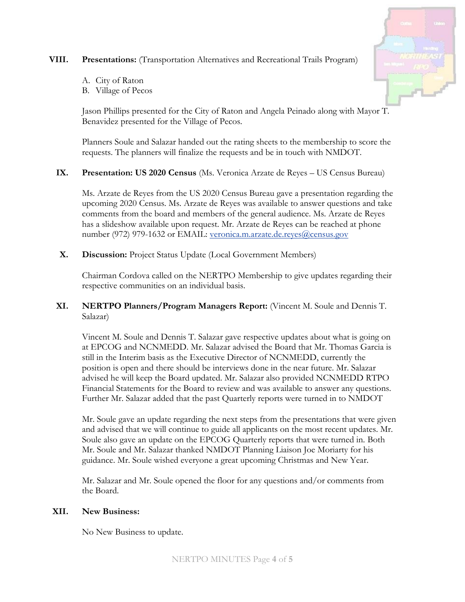## **VIII. Presentations:** (Transportation Alternatives and Recreational Trails Program)

- A. City of Raton
- B. Village of Pecos

Jason Phillips presented for the City of Raton and Angela Peinado along with Mayor T. Benavidez presented for the Village of Pecos.

Planners Soule and Salazar handed out the rating sheets to the membership to score the requests. The planners will finalize the requests and be in touch with NMDOT.

## **IX. Presentation: US 2020 Census** (Ms. Veronica Arzate de Reyes – US Census Bureau)

Ms. Arzate de Reyes from the US 2020 Census Bureau gave a presentation regarding the upcoming 2020 Census. Ms. Arzate de Reyes was available to answer questions and take comments from the board and members of the general audience. Ms. Arzate de Reyes has a slideshow available upon request. Mr. Arzate de Reyes can be reached at phone number (972) 979-1632 or EMAIL: [veronica.m.arzate.de.reyes@census.gov](mailto:veronica.m.arzate.de.reyes@census.gov)

**X. Discussion:** Project Status Update (Local Government Members)

Chairman Cordova called on the NERTPO Membership to give updates regarding their respective communities on an individual basis.

## **XI. NERTPO Planners/Program Managers Report:** (Vincent M. Soule and Dennis T. Salazar)

Vincent M. Soule and Dennis T. Salazar gave respective updates about what is going on at EPCOG and NCNMEDD. Mr. Salazar advised the Board that Mr. Thomas Garcia is still in the Interim basis as the Executive Director of NCNMEDD, currently the position is open and there should be interviews done in the near future. Mr. Salazar advised he will keep the Board updated. Mr. Salazar also provided NCNMEDD RTPO Financial Statements for the Board to review and was available to answer any questions. Further Mr. Salazar added that the past Quarterly reports were turned in to NMDOT

Mr. Soule gave an update regarding the next steps from the presentations that were given and advised that we will continue to guide all applicants on the most recent updates. Mr. Soule also gave an update on the EPCOG Quarterly reports that were turned in. Both Mr. Soule and Mr. Salazar thanked NMDOT Planning Liaison Joe Moriarty for his guidance. Mr. Soule wished everyone a great upcoming Christmas and New Year.

Mr. Salazar and Mr. Soule opened the floor for any questions and/or comments from the Board.

#### **XII. New Business:**

No New Business to update.